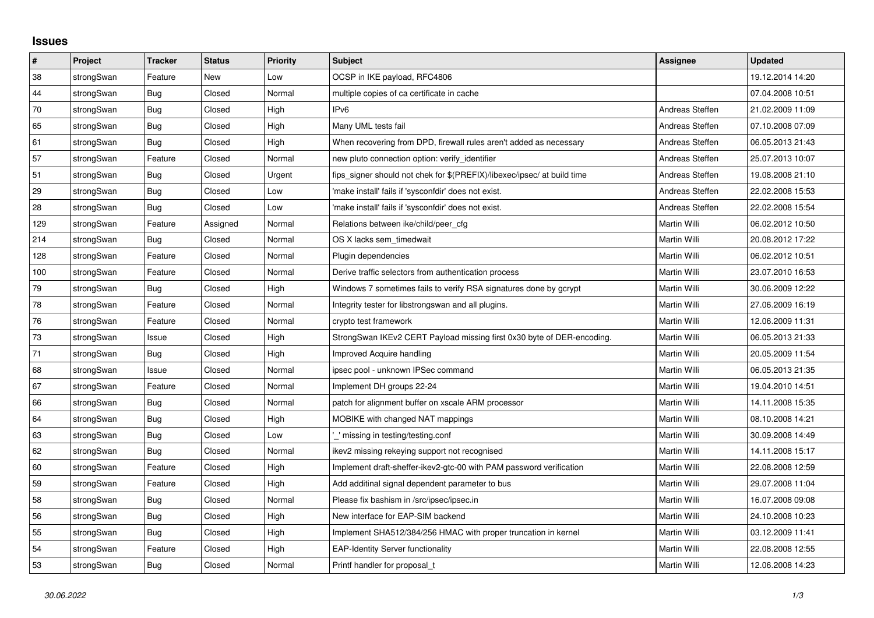## **Issues**

| $\vert$ # | Project    | <b>Tracker</b> | <b>Status</b> | Priority | <b>Subject</b>                                                          | <b>Assignee</b> | <b>Updated</b>   |
|-----------|------------|----------------|---------------|----------|-------------------------------------------------------------------------|-----------------|------------------|
| 38        | strongSwan | Feature        | <b>New</b>    | Low      | OCSP in IKE payload, RFC4806                                            |                 | 19.12.2014 14:20 |
| 44        | strongSwan | <b>Bug</b>     | Closed        | Normal   | multiple copies of ca certificate in cache                              |                 | 07.04.2008 10:51 |
| 70        | strongSwan | Bug            | Closed        | High     | IPv6                                                                    | Andreas Steffen | 21.02.2009 11:09 |
| 65        | strongSwan | <b>Bug</b>     | Closed        | High     | Many UML tests fail                                                     | Andreas Steffen | 07.10.2008 07:09 |
| 61        | strongSwan | <b>Bug</b>     | Closed        | High     | When recovering from DPD, firewall rules aren't added as necessary      | Andreas Steffen | 06.05.2013 21:43 |
| 57        | strongSwan | Feature        | Closed        | Normal   | new pluto connection option: verify identifier                          | Andreas Steffen | 25.07.2013 10:07 |
| 51        | strongSwan | Bug            | Closed        | Urgent   | fips signer should not chek for \$(PREFIX)/libexec/ipsec/ at build time | Andreas Steffen | 19.08.2008 21:10 |
| 29        | strongSwan | Bug            | Closed        | Low      | 'make install' fails if 'sysconfdir' does not exist.                    | Andreas Steffen | 22.02.2008 15:53 |
| 28        | strongSwan | Bug            | Closed        | Low      | 'make install' fails if 'sysconfdir' does not exist.                    | Andreas Steffen | 22.02.2008 15:54 |
| 129       | strongSwan | Feature        | Assigned      | Normal   | Relations between ike/child/peer_cfg                                    | Martin Willi    | 06.02.2012 10:50 |
| 214       | strongSwan | <b>Bug</b>     | Closed        | Normal   | OS X lacks sem timedwait                                                | Martin Willi    | 20.08.2012 17:22 |
| 128       | strongSwan | Feature        | Closed        | Normal   | Plugin dependencies                                                     | Martin Willi    | 06.02.2012 10:51 |
| 100       | strongSwan | Feature        | Closed        | Normal   | Derive traffic selectors from authentication process                    | Martin Willi    | 23.07.2010 16:53 |
| 79        | strongSwan | Bug            | Closed        | High     | Windows 7 sometimes fails to verify RSA signatures done by gcrypt       | Martin Willi    | 30.06.2009 12:22 |
| 78        | strongSwan | Feature        | Closed        | Normal   | Integrity tester for libstrongswan and all plugins.                     | Martin Willi    | 27.06.2009 16:19 |
| 76        | strongSwan | Feature        | Closed        | Normal   | crypto test framework                                                   | Martin Willi    | 12.06.2009 11:31 |
| 73        | strongSwan | Issue          | Closed        | High     | StrongSwan IKEv2 CERT Payload missing first 0x30 byte of DER-encoding.  | Martin Willi    | 06.05.2013 21:33 |
| 71        | strongSwan | Bug            | Closed        | High     | Improved Acquire handling                                               | Martin Willi    | 20.05.2009 11:54 |
| 68        | strongSwan | Issue          | Closed        | Normal   | ipsec pool - unknown IPSec command                                      | Martin Willi    | 06.05.2013 21:35 |
| 67        | strongSwan | Feature        | Closed        | Normal   | Implement DH groups 22-24                                               | Martin Willi    | 19.04.2010 14:51 |
| 66        | strongSwan | Bug            | Closed        | Normal   | patch for alignment buffer on xscale ARM processor                      | Martin Willi    | 14.11.2008 15:35 |
| 64        | strongSwan | Bug            | Closed        | High     | MOBIKE with changed NAT mappings                                        | Martin Willi    | 08.10.2008 14:21 |
| 63        | strongSwan | <b>Bug</b>     | Closed        | Low      | missing in testing/testing.conf                                         | Martin Willi    | 30.09.2008 14:49 |
| 62        | strongSwan | Bug            | Closed        | Normal   | ikev2 missing rekeying support not recognised                           | Martin Willi    | 14.11.2008 15:17 |
| 60        | strongSwan | Feature        | Closed        | High     | Implement draft-sheffer-ikev2-gtc-00 with PAM password verification     | Martin Willi    | 22.08.2008 12:59 |
| 59        | strongSwan | Feature        | Closed        | High     | Add additinal signal dependent parameter to bus                         | Martin Willi    | 29.07.2008 11:04 |
| 58        | strongSwan | <b>Bug</b>     | Closed        | Normal   | Please fix bashism in /src/ipsec/ipsec.in                               | Martin Willi    | 16.07.2008 09:08 |
| 56        | strongSwan | Bug            | Closed        | High     | New interface for EAP-SIM backend                                       | Martin Willi    | 24.10.2008 10:23 |
| 55        | strongSwan | Bug            | Closed        | High     | Implement SHA512/384/256 HMAC with proper truncation in kernel          | Martin Willi    | 03.12.2009 11:41 |
| 54        | strongSwan | Feature        | Closed        | High     | <b>EAP-Identity Server functionality</b>                                | Martin Willi    | 22.08.2008 12:55 |
| 53        | strongSwan | Bug            | Closed        | Normal   | Printf handler for proposal t                                           | Martin Willi    | 12.06.2008 14:23 |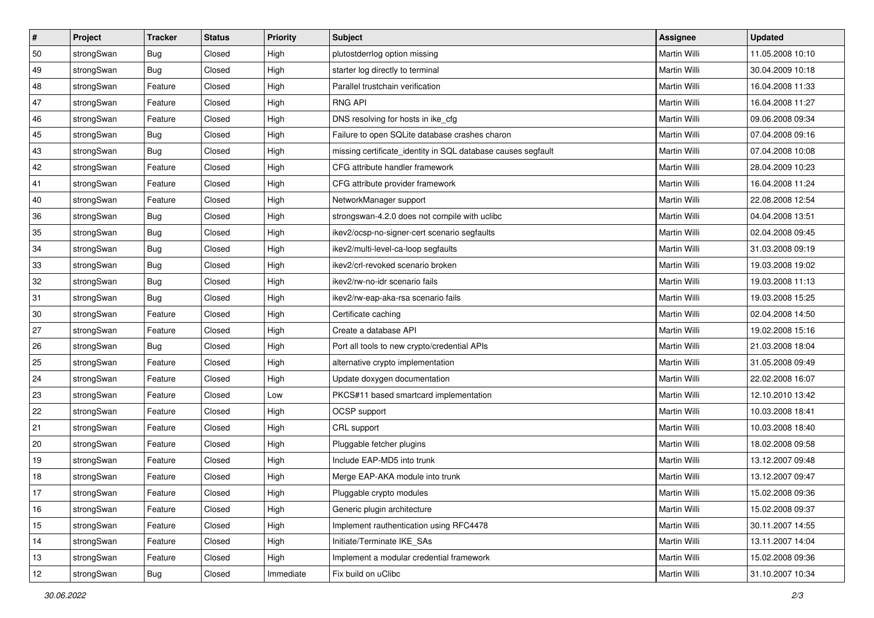| $\vert$ # | Project    | <b>Tracker</b> | <b>Status</b> | Priority  | <b>Subject</b>                                               | <b>Assignee</b>     | <b>Updated</b>   |
|-----------|------------|----------------|---------------|-----------|--------------------------------------------------------------|---------------------|------------------|
| 50        | strongSwan | <b>Bug</b>     | Closed        | High      | plutostderrlog option missing                                | Martin Willi        | 11.05.2008 10:10 |
| 49        | strongSwan | Bug            | Closed        | High      | starter log directly to terminal                             | Martin Willi        | 30.04.2009 10:18 |
| 48        | strongSwan | Feature        | Closed        | High      | Parallel trustchain verification                             | <b>Martin Willi</b> | 16.04.2008 11:33 |
| 47        | strongSwan | Feature        | Closed        | High      | <b>RNG API</b>                                               | Martin Willi        | 16.04.2008 11:27 |
| 46        | strongSwan | Feature        | Closed        | High      | DNS resolving for hosts in ike_cfg                           | Martin Willi        | 09.06.2008 09:34 |
| 45        | strongSwan | <b>Bug</b>     | Closed        | High      | Failure to open SQLite database crashes charon               | Martin Willi        | 07.04.2008 09:16 |
| 43        | strongSwan | Bug            | Closed        | High      | missing certificate_identity in SQL database causes segfault | Martin Willi        | 07.04.2008 10:08 |
| 42        | strongSwan | Feature        | Closed        | High      | CFG attribute handler framework                              | Martin Willi        | 28.04.2009 10:23 |
| 41        | strongSwan | Feature        | Closed        | High      | CFG attribute provider framework                             | Martin Willi        | 16.04.2008 11:24 |
| 40        | strongSwan | Feature        | Closed        | High      | NetworkManager support                                       | Martin Willi        | 22.08.2008 12:54 |
| 36        | strongSwan | <b>Bug</b>     | Closed        | High      | strongswan-4.2.0 does not compile with uclibc                | Martin Willi        | 04.04.2008 13:51 |
| 35        | strongSwan | <b>Bug</b>     | Closed        | High      | ikev2/ocsp-no-signer-cert scenario segfaults                 | <b>Martin Willi</b> | 02.04.2008 09:45 |
| 34        | strongSwan | Bug            | Closed        | High      | ikev2/multi-level-ca-loop segfaults                          | <b>Martin Willi</b> | 31.03.2008 09:19 |
| 33        | strongSwan | <b>Bug</b>     | Closed        | High      | ikev2/crl-revoked scenario broken                            | Martin Willi        | 19.03.2008 19:02 |
| 32        | strongSwan | Bug            | Closed        | High      | ikev2/rw-no-idr scenario fails                               | <b>Martin Willi</b> | 19.03.2008 11:13 |
| 31        | strongSwan | <b>Bug</b>     | Closed        | High      | ikev2/rw-eap-aka-rsa scenario fails                          | Martin Willi        | 19.03.2008 15:25 |
| 30        | strongSwan | Feature        | Closed        | High      | Certificate caching                                          | Martin Willi        | 02.04.2008 14:50 |
| 27        | strongSwan | Feature        | Closed        | High      | Create a database API                                        | Martin Willi        | 19.02.2008 15:16 |
| 26        | strongSwan | <b>Bug</b>     | Closed        | High      | Port all tools to new crypto/credential APIs                 | Martin Willi        | 21.03.2008 18:04 |
| 25        | strongSwan | Feature        | Closed        | High      | alternative crypto implementation                            | Martin Willi        | 31.05.2008 09:49 |
| 24        | strongSwan | Feature        | Closed        | High      | Update doxygen documentation                                 | Martin Willi        | 22.02.2008 16:07 |
| 23        | strongSwan | Feature        | Closed        | Low       | PKCS#11 based smartcard implementation                       | Martin Willi        | 12.10.2010 13:42 |
| 22        | strongSwan | Feature        | Closed        | High      | OCSP support                                                 | Martin Willi        | 10.03.2008 18:41 |
| 21        | strongSwan | Feature        | Closed        | High      | CRL support                                                  | Martin Willi        | 10.03.2008 18:40 |
| 20        | strongSwan | Feature        | Closed        | High      | Pluggable fetcher plugins                                    | Martin Willi        | 18.02.2008 09:58 |
| 19        | strongSwan | Feature        | Closed        | High      | Include EAP-MD5 into trunk                                   | <b>Martin Willi</b> | 13.12.2007 09:48 |
| 18        | strongSwan | Feature        | Closed        | High      | Merge EAP-AKA module into trunk                              | Martin Willi        | 13.12.2007 09:47 |
| $17$      | strongSwan | Feature        | Closed        | High      | Pluggable crypto modules                                     | Martin Willi        | 15.02.2008 09:36 |
| 16        | strongSwan | Feature        | Closed        | High      | Generic plugin architecture                                  | Martin Willi        | 15.02.2008 09:37 |
| 15        | strongSwan | Feature        | Closed        | High      | Implement rauthentication using RFC4478                      | Martin Willi        | 30.11.2007 14:55 |
| 14        | strongSwan | Feature        | Closed        | High      | Initiate/Terminate IKE_SAs                                   | Martin Willi        | 13.11.2007 14:04 |
| 13        | strongSwan | Feature        | Closed        | High      | Implement a modular credential framework                     | Martin Willi        | 15.02.2008 09:36 |
| 12        | strongSwan | <b>Bug</b>     | Closed        | Immediate | Fix build on uClibc                                          | Martin Willi        | 31.10.2007 10:34 |